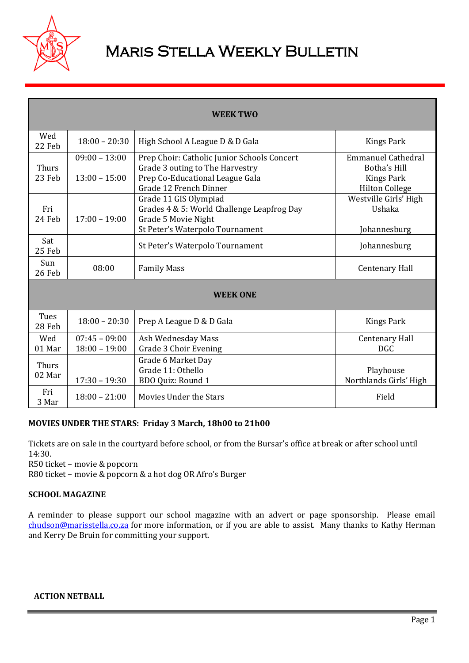

# Maris Stella Weekly Bulletin

| <b>WEEK TWO</b>        |                                    |                                                                                                                               |                                                 |  |
|------------------------|------------------------------------|-------------------------------------------------------------------------------------------------------------------------------|-------------------------------------------------|--|
| Wed<br>22 Feb          | $18:00 - 20:30$                    | High School A League D & D Gala                                                                                               | Kings Park                                      |  |
| Thurs                  | $09:00 - 13:00$                    | Prep Choir: Catholic Junior Schools Concert<br>Grade 3 outing to The Harvestry                                                | <b>Emmanuel Cathedral</b><br>Botha's Hill       |  |
| 23 Feb                 | $13:00 - 15:00$                    | Prep Co-Educational League Gala<br>Grade 12 French Dinner                                                                     | <b>Kings Park</b><br><b>Hilton College</b>      |  |
| Fri<br>24 Feb          | $17:00 - 19:00$                    | Grade 11 GIS Olympiad<br>Grades 4 & 5: World Challenge Leapfrog Day<br>Grade 5 Movie Night<br>St Peter's Waterpolo Tournament | Westville Girls' High<br>Ushaka<br>Johannesburg |  |
| Sat<br>25 Feb          |                                    | St Peter's Waterpolo Tournament                                                                                               | Johannesburg                                    |  |
| Sun<br>26 Feb          | 08:00                              | <b>Family Mass</b>                                                                                                            | <b>Centenary Hall</b>                           |  |
| <b>WEEK ONE</b>        |                                    |                                                                                                                               |                                                 |  |
| Tues<br>28 Feb         | $18:00 - 20:30$                    | Prep A League D & D Gala                                                                                                      | <b>Kings Park</b>                               |  |
| Wed<br>01 Mar          | $07:45 - 09:00$<br>$18:00 - 19:00$ | Ash Wednesday Mass<br><b>Grade 3 Choir Evening</b>                                                                            | <b>Centenary Hall</b><br><b>DGC</b>             |  |
| <b>Thurs</b><br>02 Mar | $17:30 - 19:30$                    | Grade 6 Market Day<br>Grade 11: Othello<br>BDO Quiz: Round 1                                                                  | Playhouse<br>Northlands Girls' High             |  |
| Fri<br>3 Mar           | $18:00 - 21:00$                    | Movies Under the Stars                                                                                                        | Field                                           |  |

## **MOVIES UNDER THE STARS: Friday 3 March, 18h00 to 21h00**

Tickets are on sale in the courtyard before school, or from the Bursar's office at break or after school until 14:30.

R50 ticket – movie & popcorn

R80 ticket – movie & popcorn & a hot dog OR Afro's Burger

## **SCHOOL MAGAZINE**

A reminder to please support our school magazine with an advert or page sponsorship. Please email [chudson@marisstella.co.za](mailto:chudson@marisstella.co.za) for more information, or if you are able to assist. Many thanks to Kathy Herman and Kerry De Bruin for committing your support.

## **ACTION NETBALL**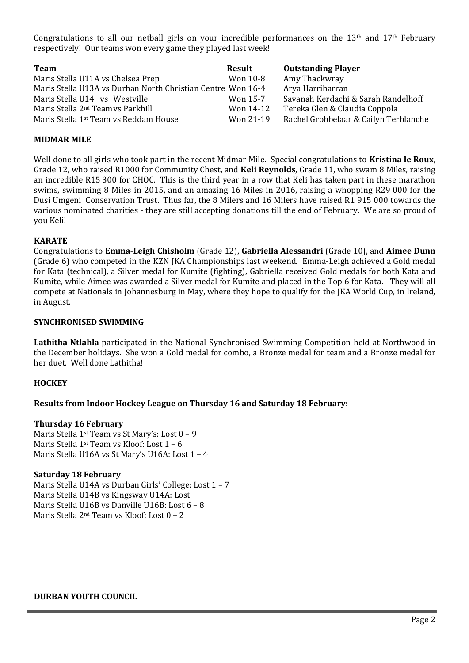Congratulations to all our netball girls on your incredible performances on the  $13<sup>th</sup>$  and  $17<sup>th</sup>$  February respectively! Our teams won every game they played last week!

| <b>Team</b>                                                 | Result    | <b>Outstanding Player</b>             |
|-------------------------------------------------------------|-----------|---------------------------------------|
| Maris Stella U11A vs Chelsea Prep                           | Won 10-8  | Amy Thackwray                         |
| Maris Stella U13A vs Durban North Christian Centre Won 16-4 |           | Arya Harribarran                      |
| Maris Stella U14 vs Westville                               | Won 15-7  | Savanah Kerdachi & Sarah Randelhoff   |
| Maris Stella 2 <sup>nd</sup> Teamys Parkhill                | Won 14-12 | Tereka Glen & Claudia Coppola         |
| Maris Stella 1 <sup>st</sup> Team vs Reddam House           | Won 21-19 | Rachel Grobbelaar & Cailyn Terblanche |

## **MIDMAR MILE**

Well done to all girls who took part in the recent Midmar Mile. Special congratulations to **Kristina le Roux**, Grade 12, who raised R1000 for Community Chest, and **Keli Reynolds**, Grade 11, who swam 8 Miles, raising an incredible R15 300 for CHOC. This is the third year in a row that Keli has taken part in these marathon swims, swimming 8 Miles in 2015, and an amazing 16 Miles in 2016, raising a whopping R29 000 for the Dusi Umgeni Conservation Trust. Thus far, the 8 Milers and 16 Milers have raised R1 915 000 towards the various nominated charities - they are still accepting donations till the end of February. We are so proud of you Keli!

#### **KARATE**

Congratulations to **Emma-Leigh Chisholm** (Grade 12), **Gabriella Alessandri** (Grade 10), and **Aimee Dunn** (Grade 6) who competed in the KZN JKA Championships last weekend. Emma-Leigh achieved a Gold medal for Kata (technical), a Silver medal for Kumite (fighting), Gabriella received Gold medals for both Kata and Kumite, while Aimee was awarded a Silver medal for Kumite and placed in the Top 6 for Kata. They will all compete at Nationals in Johannesburg in May, where they hope to qualify for the JKA World Cup, in Ireland, in August.

#### **SYNCHRONISED SWIMMING**

**Lathitha Ntlahla** participated in the National Synchronised Swimming Competition held at Northwood in the December holidays. She won a Gold medal for combo, a Bronze medal for team and a Bronze medal for her duet. Well done Lathitha!

## **HOCKEY**

## **Results from Indoor Hockey League on Thursday 16 and Saturday 18 February:**

#### **Thursday 16 February**

Maris Stella 1st Team vs St Mary's: Lost 0 – 9 Maris Stella 1<sup>st</sup> Team vs Kloof: Lost 1 - 6 Maris Stella U16A vs St Mary's U16A: Lost 1 – 4

## **Saturday 18 February**

Maris Stella U14A vs Durban Girls' College: Lost 1 – 7 Maris Stella U14B vs Kingsway U14A: Lost Maris Stella U16B vs Danville U16B: Lost 6 – 8 Maris Stella 2nd Team vs Kloof: Lost 0 – 2

## **DURBAN YOUTH COUNCIL**